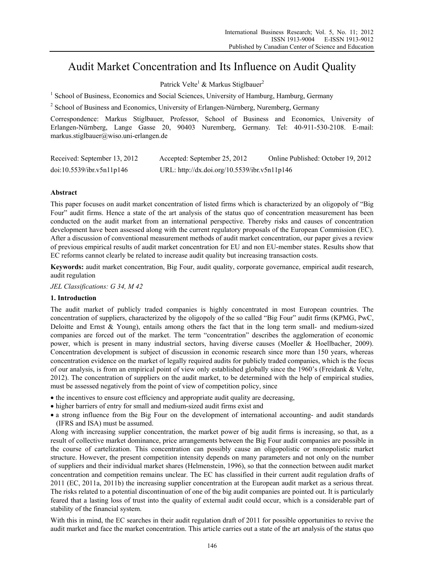# Audit Market Concentration and Its Influence on Audit Quality

Patrick Velte<sup>1</sup> & Markus Stiglbauer<sup>2</sup>

<sup>1</sup> School of Business, Economics and Social Sciences, University of Hamburg, Hamburg, Germany

<sup>2</sup> School of Business and Economics, University of Erlangen-Nürnberg, Nuremberg, Germany

Correspondence: Markus Stiglbauer, Professor, School of Business and Economics, University of Erlangen-Nürnberg, Lange Gasse 20, 90403 Nuremberg, Germany. Tel: 40-911-530-2108. E-mail: markus.stiglbauer@wiso.uni-erlangen.de

| Received: September 13, 2012 | Accepted: September 25, 2012                 | Online Published: October 19, 2012 |
|------------------------------|----------------------------------------------|------------------------------------|
| doi:10.5539/ibr.v5n11p146    | URL: http://dx.doi.org/10.5539/ibr.v5n11p146 |                                    |

#### **Abstract**

This paper focuses on audit market concentration of listed firms which is characterized by an oligopoly of "Big Four" audit firms. Hence a state of the art analysis of the status quo of concentration measurement has been conducted on the audit market from an international perspective. Thereby risks and causes of concentration development have been assessed along with the current regulatory proposals of the European Commission (EC). After a discussion of conventional measurement methods of audit market concentration, our paper gives a review of previous empirical results of audit market concentration for EU and non EU-member states. Results show that EC reforms cannot clearly be related to increase audit quality but increasing transaction costs.

**Keywords:** audit market concentration, Big Four, audit quality, corporate governance, empirical audit research, audit regulation

*JEL Classifications: G 34, M 42* 

#### **1. Introduction**

The audit market of publicly traded companies is highly concentrated in most European countries. The concentration of suppliers, characterized by the oligopoly of the so called "Big Four" audit firms (KPMG, PwC, Deloitte and Ernst & Young), entails among others the fact that in the long term small- and medium-sized companies are forced out of the market. The term "concentration" describes the agglomeration of economic power, which is present in many industrial sectors, having diverse causes (Moeller & Hoellbacher, 2009). Concentration development is subject of discussion in economic research since more than 150 years, whereas concentration evidence on the market of legally required audits for publicly traded companies, which is the focus of our analysis, is from an empirical point of view only established globally since the 1960's (Freidank & Velte, 2012). The concentration of suppliers on the audit market, to be determined with the help of empirical studies, must be assessed negatively from the point of view of competition policy, since

- the incentives to ensure cost efficiency and appropriate audit quality are decreasing,
- higher barriers of entry for small and medium-sized audit firms exist and
- a strong influence from the Big Four on the development of international accounting- and audit standards (IFRS and ISA) must be assumed.

Along with increasing supplier concentration, the market power of big audit firms is increasing, so that, as a result of collective market dominance, price arrangements between the Big Four audit companies are possible in the course of cartelization. This concentration can possibly cause an oligopolistic or monopolistic market structure. However, the present competition intensity depends on many parameters and not only on the number of suppliers and their individual market shares (Helmenstein, 1996), so that the connection between audit market concentration and competition remains unclear. The EC has classified in their current audit regulation drafts of 2011 (EC, 2011a, 2011b) the increasing supplier concentration at the European audit market as a serious threat. The risks related to a potential discontinuation of one of the big audit companies are pointed out. It is particularly feared that a lasting loss of trust into the quality of external audit could occur, which is a considerable part of stability of the financial system.

With this in mind, the EC searches in their audit regulation draft of 2011 for possible opportunities to revive the audit market and face the market concentration. This article carries out a state of the art analysis of the status quo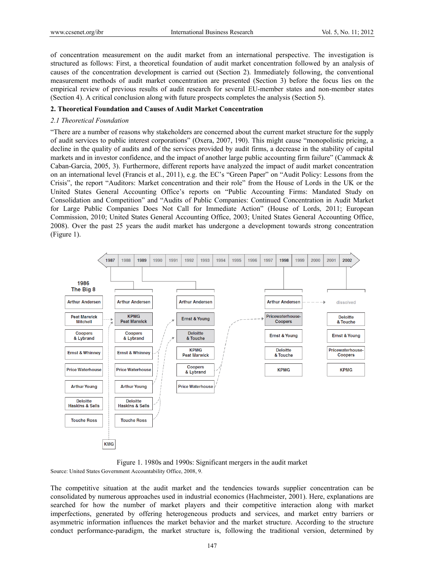of concentration measurement on the audit market from an international perspective. The investigation is structured as follows: First, a theoretical foundation of audit market concentration followed by an analysis of causes of the concentration development is carried out (Section 2). Immediately following, the conventional measurement methods of audit market concentration are presented (Section 3) before the focus lies on the empirical review of previous results of audit research for several EU-member states and non-member states (Section 4). A critical conclusion along with future prospects completes the analysis (Section 5).

#### **2. Theoretical Foundation and Causes of Audit Market Concentration**

#### *2.1 Theoretical Foundation*

"There are a number of reasons why stakeholders are concerned about the current market structure for the supply of audit services to public interest corporations" (Oxera, 2007, 190). This might cause "monopolistic pricing, a decline in the quality of audits and of the services provided by audit firms, a decrease in the stability of capital markets and in investor confidence, and the impact of another large public accounting firm failure" (Cammack & Caban-Garcia, 2005, 3). Furthermore, different reports have analyzed the impact of audit market concentration on an international level (Francis et al., 2011), e.g. the EC's "Green Paper" on "Audit Policy: Lessons from the Crisis", the report "Auditors: Market concentration and their role" from the House of Lords in the UK or the United States General Accounting Office's reports on "Public Accounting Firms: Mandated Study on Consolidation and Competition" and "Audits of Public Companies: Continued Concentration in Audit Market for Large Public Companies Does Not Call for Immediate Action" (House of Lords, 2011; European Commission, 2010; United States General Accounting Office, 2003; United States General Accounting Office, 2008). Over the past 25 years the audit market has undergone a development towards strong concentration (Figure 1).



Figure 1. 1980s and 1990s: Significant mergers in the audit market Source: United States Government Accountability Office, 2008, 9.

The competitive situation at the audit market and the tendencies towards supplier concentration can be consolidated by numerous approaches used in industrial economics (Hachmeister, 2001). Here, explanations are searched for how the number of market players and their competitive interaction along with market imperfections, generated by offering heterogeneous products and services, and market entry barriers or asymmetric information influences the market behavior and the market structure. According to the structure conduct performance-paradigm, the market structure is, following the traditional version, determined by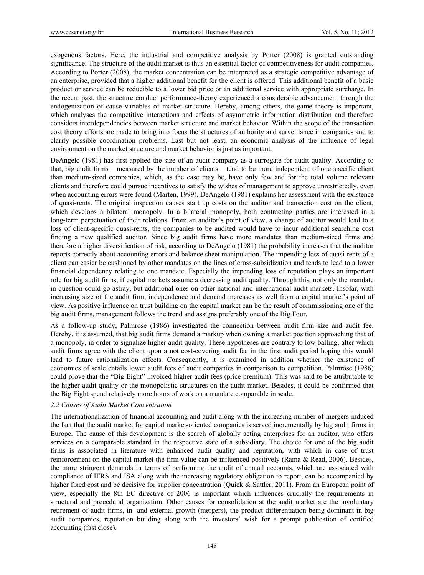exogenous factors. Here, the industrial and competitive analysis by Porter (2008) is granted outstanding significance. The structure of the audit market is thus an essential factor of competitiveness for audit companies. According to Porter (2008), the market concentration can be interpreted as a strategic competitive advantage of an enterprise, provided that a higher additional benefit for the client is offered. This additional benefit of a basic product or service can be reducible to a lower bid price or an additional service with appropriate surcharge. In the recent past, the structure conduct performance-theory experienced a considerable advancement through the endogenization of cause variables of market structure. Hereby, among others, the game theory is important, which analyses the competitive interactions and effects of asymmetric information distribution and therefore considers interdependencies between market structure and market behavior. Within the scope of the transaction cost theory efforts are made to bring into focus the structures of authority and surveillance in companies and to clarify possible coordination problems. Last but not least, an economic analysis of the influence of legal environment on the market structure and market behavior is just as important.

DeAngelo (1981) has first applied the size of an audit company as a surrogate for audit quality. According to that, big audit firms – measured by the number of clients – tend to be more independent of one specific client than medium-sized companies, which, as the case may be, have only few and for the total volume relevant clients and therefore could pursue incentives to satisfy the wishes of management to approve unrestrictedly, even when accounting errors were found (Marten, 1999). DeAngelo (1981) explains her assessment with the existence of quasi-rents. The original inspection causes start up costs on the auditor and transaction cost on the client, which develops a bilateral monopoly. In a bilateral monopoly, both contracting parties are interested in a long-term perpetuation of their relations. From an auditor's point of view, a change of auditor would lead to a loss of client-specific quasi-rents, the companies to be audited would have to incur additional searching cost finding a new qualified auditor. Since big audit firms have more mandates than medium-sized firms and therefore a higher diversification of risk, according to DeAngelo (1981) the probability increases that the auditor reports correctly about accounting errors and balance sheet manipulation. The impending loss of quasi-rents of a client can easier be cushioned by other mandates on the lines of cross-subsidization and tends to lead to a lower financial dependency relating to one mandate. Especially the impending loss of reputation plays an important role for big audit firms, if capital markets assume a decreasing audit quality. Through this, not only the mandate in question could go astray, but additional ones on other national and international audit markets. Insofar, with increasing size of the audit firm, independence and demand increases as well from a capital market's point of view. As positive influence on trust building on the capital market can be the result of commissioning one of the big audit firms, management follows the trend and assigns preferably one of the Big Four.

As a follow-up study, Palmrose (1986) investigated the connection between audit firm size and audit fee. Hereby, it is assumed, that big audit firms demand a markup when owning a market position approaching that of a monopoly, in order to signalize higher audit quality. These hypotheses are contrary to low balling, after which audit firms agree with the client upon a not cost-covering audit fee in the first audit period hoping this would lead to future rationalization effects. Consequently, it is examined in addition whether the existence of economies of scale entails lower audit fees of audit companies in comparison to competition. Palmrose (1986) could prove that the "Big Eight" invoiced higher audit fees (price premium). This was said to be attributable to the higher audit quality or the monopolistic structures on the audit market. Besides, it could be confirmed that the Big Eight spend relatively more hours of work on a mandate comparable in scale.

#### *2.2 Causes of Audit Market Concentration*

The internationalization of financial accounting and audit along with the increasing number of mergers induced the fact that the audit market for capital market-oriented companies is served incrementally by big audit firms in Europe. The cause of this development is the search of globally acting enterprises for an auditor, who offers services on a comparable standard in the respective state of a subsidiary. The choice for one of the big audit firms is associated in literature with enhanced audit quality and reputation, with which in case of trust reinforcement on the capital market the firm value can be influenced positively (Rama & Read, 2006). Besides, the more stringent demands in terms of performing the audit of annual accounts, which are associated with compliance of IFRS and ISA along with the increasing regulatory obligation to report, can be accompanied by higher fixed cost and be decisive for supplier concentration (Quick & Sattler, 2011). From an European point of view, especially the 8th EC directive of 2006 is important which influences crucially the requirements in structural and procedural organization. Other causes for consolidation at the audit market are the involuntary retirement of audit firms, in- and external growth (mergers), the product differentiation being dominant in big audit companies, reputation building along with the investors' wish for a prompt publication of certified accounting (fast close).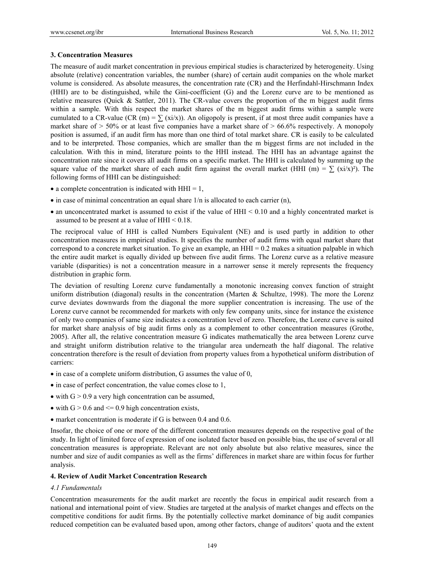#### **3. Concentration Measures**

The measure of audit market concentration in previous empirical studies is characterized by heterogeneity. Using absolute (relative) concentration variables, the number (share) of certain audit companies on the whole market volume is considered. As absolute measures, the concentration rate (CR) and the Herfindahl-Hirschmann Index (HHI) are to be distinguished, while the Gini-coefficient (G) and the Lorenz curve are to be mentioned as relative measures (Quick & Sattler, 2011). The CR-value covers the proportion of the m biggest audit firms within a sample. With this respect the market shares of the m biggest audit firms within a sample were cumulated to a CR-value (CR (m) =  $\sum$  (xi/x)). An oligopoly is present, if at most three audit companies have a market share of  $> 50\%$  or at least five companies have a market share of  $> 66.6\%$  respectively. A monopoly position is assumed, if an audit firm has more than one third of total market share. CR is easily to be calculated and to be interpreted. Those companies, which are smaller than the m biggest firms are not included in the calculation. With this in mind, literature points to the HHI instead. The HHI has an advantage against the concentration rate since it covers all audit firms on a specific market. The HHI is calculated by summing up the square value of the market share of each audit firm against the overall market (HHI (m) =  $\sum$  (xi/x)<sup>2</sup>). The following forms of HHI can be distinguished:

- a complete concentration is indicated with  $HHI = 1$ ,
- $\bullet$  in case of minimal concentration an equal share  $1/n$  is allocated to each carrier  $(n)$ ,
- an unconcentrated market is assumed to exist if the value of HHI < 0.10 and a highly concentrated market is assumed to be present at a value of  $HHI < 0.18$ .

The reciprocal value of HHI is called Numbers Equivalent (NE) and is used partly in addition to other concentration measures in empirical studies. It specifies the number of audit firms with equal market share that correspond to a concrete market situation. To give an example, an  $HHI = 0.2$  makes a situation palpable in which the entire audit market is equally divided up between five audit firms. The Lorenz curve as a relative measure variable (disparities) is not a concentration measure in a narrower sense it merely represents the frequency distribution in graphic form.

The deviation of resulting Lorenz curve fundamentally a monotonic increasing convex function of straight uniform distribution (diagonal) results in the concentration (Marten & Schultze, 1998). The more the Lorenz curve deviates downwards from the diagonal the more supplier concentration is increasing. The use of the Lorenz curve cannot be recommended for markets with only few company units, since for instance the existence of only two companies of same size indicates a concentration level of zero. Therefore, the Lorenz curve is suited for market share analysis of big audit firms only as a complement to other concentration measures (Grothe, 2005). After all, the relative concentration measure G indicates mathematically the area between Lorenz curve and straight uniform distribution relative to the triangular area underneath the half diagonal. The relative concentration therefore is the result of deviation from property values from a hypothetical uniform distribution of carriers:

- $\bullet$  in case of a complete uniform distribution, G assumes the value of 0,
- $\bullet$  in case of perfect concentration, the value comes close to 1,
- $\bullet$  with G  $> 0.9$  a very high concentration can be assumed,
- with  $G > 0.6$  and  $\leq 0.9$  high concentration exists,
- market concentration is moderate if G is between 0.4 and 0.6.

Insofar, the choice of one or more of the different concentration measures depends on the respective goal of the study. In light of limited force of expression of one isolated factor based on possible bias, the use of several or all concentration measures is appropriate. Relevant are not only absolute but also relative measures, since the number and size of audit companies as well as the firms' differences in market share are within focus for further analysis.

### **4. Review of Audit Market Concentration Research**

#### *4.1 Fundamentals*

Concentration measurements for the audit market are recently the focus in empirical audit research from a national and international point of view. Studies are targeted at the analysis of market changes and effects on the competitive conditions for audit firms. By the potentially collective market dominance of big audit companies reduced competition can be evaluated based upon, among other factors, change of auditors' quota and the extent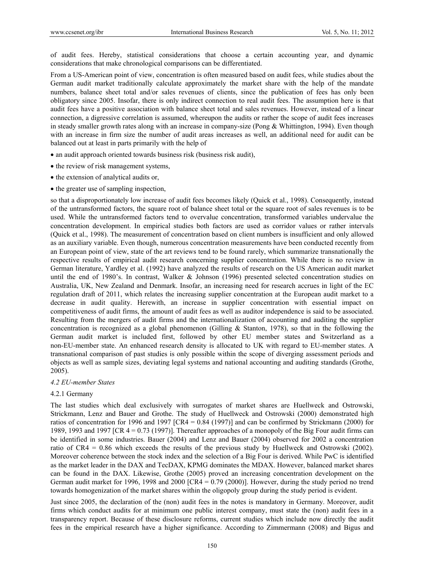of audit fees. Hereby, statistical considerations that choose a certain accounting year, and dynamic considerations that make chronological comparisons can be differentiated.

From a US-American point of view, concentration is often measured based on audit fees, while studies about the German audit market traditionally calculate approximately the market share with the help of the mandate numbers, balance sheet total and/or sales revenues of clients, since the publication of fees has only been obligatory since 2005. Insofar, there is only indirect connection to real audit fees. The assumption here is that audit fees have a positive association with balance sheet total and sales revenues. However, instead of a linear connection, a digressive correlation is assumed, whereupon the audits or rather the scope of audit fees increases in steady smaller growth rates along with an increase in company-size (Pong & Whittington, 1994). Even though with an increase in firm size the number of audit areas increases as well, an additional need for audit can be balanced out at least in parts primarily with the help of

- an audit approach oriented towards business risk (business risk audit),
- the review of risk management systems,
- the extension of analytical audits or,
- the greater use of sampling inspection,

so that a disproportionately low increase of audit fees becomes likely (Quick et al., 1998). Consequently, instead of the untransformed factors, the square root of balance sheet total or the square root of sales revenues is to be used. While the untransformed factors tend to overvalue concentration, transformed variables undervalue the concentration development. In empirical studies both factors are used as corridor values or rather intervals (Quick et al., 1998). The measurement of concentration based on client numbers is insufficient and only allowed as an auxiliary variable. Even though, numerous concentration measurements have been conducted recently from an European point of view, state of the art reviews tend to be found rarely, which summarize transnationally the respective results of empirical audit research concerning supplier concentration. While there is no review in German literature, Yardley et al. (1992) have analyzed the results of research on the US American audit market until the end of 1980's. In contrast, Walker & Johnson (1996) presented selected concentration studies on Australia, UK, New Zealand and Denmark. Insofar, an increasing need for research accrues in light of the EC regulation draft of 2011, which relates the increasing supplier concentration at the European audit market to a decrease in audit quality. Herewith, an increase in supplier concentration with essential impact on competitiveness of audit firms, the amount of audit fees as well as auditor independence is said to be associated. Resulting from the mergers of audit firms and the internationalization of accounting and auditing the supplier concentration is recognized as a global phenomenon (Gilling & Stanton, 1978), so that in the following the German audit market is included first, followed by other EU member states and Switzerland as a non-EU-member state. An enhanced research density is allocated to UK with regard to EU-member states. A transnational comparison of past studies is only possible within the scope of diverging assessment periods and objects as well as sample sizes, deviating legal systems and national accounting and auditing standards (Grothe, 2005).

#### *4.2 EU-member States*

#### 4.2.1 Germany

The last studies which deal exclusively with surrogates of market shares are Huellweck and Ostrowski, Strickmann, Lenz and Bauer and Grothe. The study of Huellweck and Ostrowski (2000) demonstrated high ratios of concentration for 1996 and 1997  $[CR4 = 0.84 (1997)]$  and can be confirmed by Strickmann (2000) for 1989, 1993 and 1997 [CR 4 = 0.73 (1997)]. Thereafter approaches of a monopoly of the Big Four audit firms can be identified in some industries. Bauer (2004) and Lenz and Bauer (2004) observed for 2002 a concentration ratio of CR4 = 0.86 which exceeds the results of the previous study by Huellweck and Ostrowski (2002). Moreover coherence between the stock index and the selection of a Big Four is derived. While PwC is identified as the market leader in the DAX and TecDAX, KPMG dominates the MDAX. However, balanced market shares can be found in the DAX. Likewise, Grothe (2005) proved an increasing concentration development on the German audit market for 1996, 1998 and 2000 [CR4 = 0.79 (2000)]. However, during the study period no trend towards homogenization of the market shares within the oligopoly group during the study period is evident.

Just since 2005, the declaration of the (non) audit fees in the notes is mandatory in Germany. Moreover, audit firms which conduct audits for at minimum one public interest company, must state the (non) audit fees in a transparency report. Because of these disclosure reforms, current studies which include now directly the audit fees in the empirical research have a higher significance. According to Zimmermann (2008) and Bigus and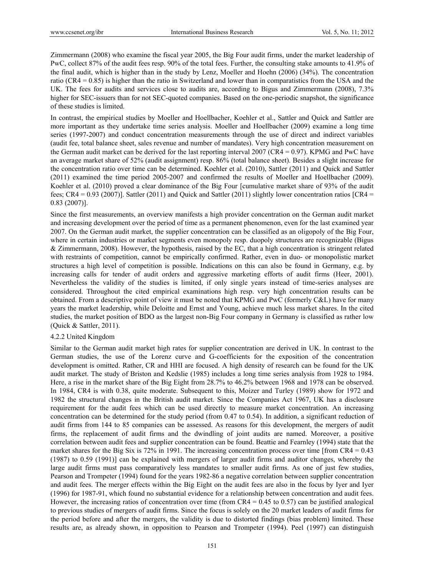Zimmermann (2008) who examine the fiscal year 2005, the Big Four audit firms, under the market leadership of PwC, collect 87% of the audit fees resp. 90% of the total fees. Further, the consulting stake amounts to 41.9% of the final audit, which is higher than in the study by Lenz, Moeller and Hoehn (2006) (34%). The concentration ratio (CR4 = 0.85) is higher than the ratio in Switzerland and lower than in comparatistics from the USA and the UK. The fees for audits and services close to audits are, according to Bigus and Zimmermann (2008), 7.3% higher for SEC-issuers than for not SEC-quoted companies. Based on the one-periodic snapshot, the significance of these studies is limited.

In contrast, the empirical studies by Moeller and Hoellbacher, Koehler et al., Sattler and Quick and Sattler are more important as they undertake time series analysis. Moeller and Hoellbacher (2009) examine a long time series (1997-2007) and conduct concentration measurements through the use of direct and indirect variables (audit fee, total balance sheet, sales revenue and number of mandates). Very high concentration measurement on the German audit market can be derived for the last reporting interval 2007 (CR4 = 0.97). KPMG and PwC have an average market share of 52% (audit assignment) resp. 86% (total balance sheet). Besides a slight increase for the concentration ratio over time can be determined. Koehler et al. (2010), Sattler (2011) and Quick and Sattler (2011) examined the time period 2005-2007 and confirmed the results of Moeller and Hoellbacher (2009). Koehler et al. (2010) proved a clear dominance of the Big Four [cumulative market share of 93% of the audit fees;  $CR4 = 0.93$  (2007)]. Sattler (2011) and Quick and Sattler (2011) slightly lower concentration ratios  $[CR4 =$ 0.83 (2007)].

Since the first measurements, an overview manifests a high provider concentration on the German audit market and increasing development over the period of time as a permanent phenomenon, even for the last examined year 2007. On the German audit market, the supplier concentration can be classified as an oligopoly of the Big Four, where in certain industries or market segments even monopoly resp. duopoly structures are recognizable (Bigus & Zimmermann, 2008). However, the hypothesis, raised by the EC, that a high concentration is stringent related with restraints of competition, cannot be empirically confirmed. Rather, even in duo- or monopolistic market structures a high level of competition is possible. Indications on this can also be found in Germany, e.g. by increasing calls for tender of audit orders and aggressive marketing efforts of audit firms (Heer, 2001). Nevertheless the validity of the studies is limited, if only single years instead of time-series analyses are considered. Throughout the cited empirical examinations high resp. very high concentration results can be obtained. From a descriptive point of view it must be noted that KPMG and PwC (formerly C&L) have for many years the market leadership, while Deloitte and Ernst and Young, achieve much less market shares. In the cited studies, the market position of BDO as the largest non-Big Four company in Germany is classified as rather low (Quick & Sattler, 2011).

#### 4.2.2 United Kingdom

Similar to the German audit market high rates for supplier concentration are derived in UK. In contrast to the German studies, the use of the Lorenz curve and G-coefficients for the exposition of the concentration development is omitted. Rather, CR and HHI are focused. A high density of research can be found for the UK audit market. The study of Briston and Kedslie (1985) includes a long time series analysis from 1928 to 1984. Here, a rise in the market share of the Big Eight from 28.7% to 46.2% between 1968 and 1978 can be observed. In 1984, CR4 is with 0.38, quite moderate. Subsequent to this, Moizer and Turley (1989) show for 1972 and 1982 the structural changes in the British audit market. Since the Companies Act 1967, UK has a disclosure requirement for the audit fees which can be used directly to measure market concentration. An increasing concentration can be determined for the study period (from 0.47 to 0.54). In addition, a significant reduction of audit firms from 144 to 85 companies can be assessed. As reasons for this development, the mergers of audit firms, the replacement of audit firms and the dwindling of joint audits are named. Moreover, a positive correlation between audit fees and supplier concentration can be found. Beattie and Fearnley (1994) state that the market shares for the Big Six is 72% in 1991. The increasing concentration process over time [from CR4 = 0.43] (1987) to 0.59 (1991)] can be explained with mergers of larger audit firms and auditor changes, whereby the large audit firms must pass comparatively less mandates to smaller audit firms. As one of just few studies, Pearson and Trompeter (1994) found for the years 1982-86 a negative correlation between supplier concentration and audit fees. The merger effects within the Big Eight on the audit fees are also in the focus by Iyer and Iyer (1996) for 1987-91, which found no substantial evidence for a relationship between concentration and audit fees. However, the increasing ratios of concentration over time (from  $CRA = 0.45$  to 0.57) can be justified analogical to previous studies of mergers of audit firms. Since the focus is solely on the 20 market leaders of audit firms for the period before and after the mergers, the validity is due to distorted findings (bias problem) limited. These results are, as already shown, in opposition to Pearson and Trompeter (1994). Peel (1997) can distinguish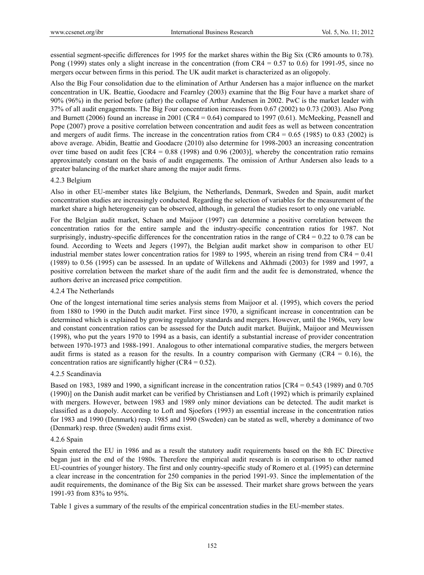essential segment-specific differences for 1995 for the market shares within the Big Six (CR6 amounts to 0.78). Pong (1999) states only a slight increase in the concentration (from CR4 = 0.57 to 0.6) for 1991-95, since no mergers occur between firms in this period. The UK audit market is characterized as an oligopoly.

Also the Big Four consolidation due to the elimination of Arthur Andersen has a major influence on the market concentration in UK. Beattie, Goodacre and Fearnley (2003) examine that the Big Four have a market share of 90% (96%) in the period before (after) the collapse of Arthur Andersen in 2002. PwC is the market leader with 37% of all audit engagements. The Big Four concentration increases from 0.67 (2002) to 0.73 (2003). Also Pong and Burnett (2006) found an increase in 2001 (CR4 =  $0.64$ ) compared to 1997 (0.61). McMeeking, Peasnell and Pope (2007) prove a positive correlation between concentration and audit fees as well as between concentration and mergers of audit firms. The increase in the concentration ratios from  $CRA = 0.65$  (1985) to 0.83 (2002) is above average. Abidin, Beattie and Goodacre (2010) also determine for 1998-2003 an increasing concentration over time based on audit fees  $[CR4 = 0.88 (1998)$  and 0.96 (2003)], whereby the concentration ratio remains approximately constant on the basis of audit engagements. The omission of Arthur Andersen also leads to a greater balancing of the market share among the major audit firms.

#### 4.2.3 Belgium

Also in other EU-member states like Belgium, the Netherlands, Denmark, Sweden and Spain, audit market concentration studies are increasingly conducted. Regarding the selection of variables for the measurement of the market share a high heterogeneity can be observed, although, in general the studies resort to only one variable.

For the Belgian audit market, Schaen and Maijoor (1997) can determine a positive correlation between the concentration ratios for the entire sample and the industry-specific concentration ratios for 1987. Not surprisingly, industry-specific differences for the concentration ratios in the range of CR4 = 0.22 to 0.78 can be found. According to Weets and Jegers (1997), the Belgian audit market show in comparison to other EU industrial member states lower concentration ratios for 1989 to 1995, wherein an rising trend from  $CRA = 0.41$ (1989) to 0.56 (1995) can be assessed. In an update of Willekens and Akhmadi (2003) for 1989 and 1997, a positive correlation between the market share of the audit firm and the audit fee is demonstrated, whence the authors derive an increased price competition.

#### 4.2.4 The Netherlands

One of the longest international time series analysis stems from Maijoor et al. (1995), which covers the period from 1880 to 1990 in the Dutch audit market. First since 1970, a significant increase in concentration can be determined which is explained by growing regulatory standards and mergers. However, until the 1960s, very low and constant concentration ratios can be assessed for the Dutch audit market. Buijink, Maijoor and Meuwissen (1998), who put the years 1970 to 1994 as a basis, can identify a substantial increase of provider concentration between 1970-1973 and 1988-1991. Analogous to other international comparative studies, the mergers between audit firms is stated as a reason for the results. In a country comparison with Germany ( $CRA = 0.16$ ), the concentration ratios are significantly higher  $(CR4 = 0.52)$ .

#### 4.2.5 Scandinavia

Based on 1983, 1989 and 1990, a significant increase in the concentration ratios [CR4 = 0.543 (1989) and 0.705 (1990)] on the Danish audit market can be verified by Christiansen and Loft (1992) which is primarily explained with mergers. However, between 1983 and 1989 only minor deviations can be detected. The audit market is classified as a duopoly. According to Loft and Sjoefors (1993) an essential increase in the concentration ratios for 1983 and 1990 (Denmark) resp. 1985 and 1990 (Sweden) can be stated as well, whereby a dominance of two (Denmark) resp. three (Sweden) audit firms exist.

#### 4.2.6 Spain

Spain entered the EU in 1986 and as a result the statutory audit requirements based on the 8th EC Directive began just in the end of the 1980s. Therefore the empirical audit research is in comparison to other named EU-countries of younger history. The first and only country-specific study of Romero et al. (1995) can determine a clear increase in the concentration for 250 companies in the period 1991-93. Since the implementation of the audit requirements, the dominance of the Big Six can be assessed. Their market share grows between the years 1991-93 from 83% to 95%.

Table 1 gives a summary of the results of the empirical concentration studies in the EU-member states.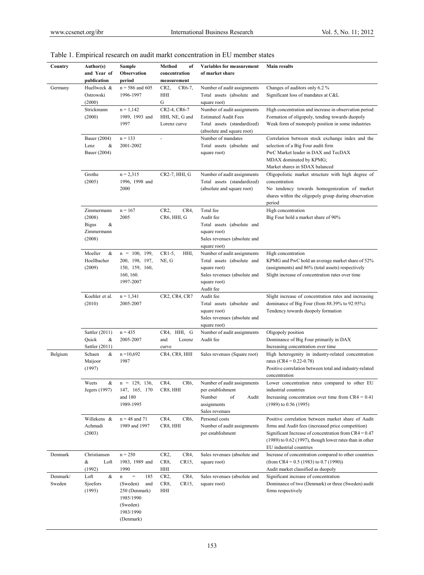| Country            | Author(s)<br>and Year of                                          | Sample<br>Observation                                                                                            | Method<br>of<br>concentration                                  | <b>Variables for measurement</b><br>of market share                                                                                    | <b>Main results</b>                                                                                                                                                                                                                                           |
|--------------------|-------------------------------------------------------------------|------------------------------------------------------------------------------------------------------------------|----------------------------------------------------------------|----------------------------------------------------------------------------------------------------------------------------------------|---------------------------------------------------------------------------------------------------------------------------------------------------------------------------------------------------------------------------------------------------------------|
| Germany            | publication<br>Huellweck &<br>Ostrowski<br>(2000)                 | period<br>$n = 586$ and 605<br>1996-1997                                                                         | measurement<br>CR <sub>2</sub><br>$CR6-7$ ,<br><b>HHI</b><br>G | Number of audit assignments<br>Total assets (absolute and<br>square root)                                                              | Changes of auditors only 6.2 %<br>Significant loss of mandates at C&L                                                                                                                                                                                         |
|                    | Strickmann<br>(2000)                                              | $n = 1,142$<br>1989, 1993 and<br>1997                                                                            | CR2-4, CR6-7<br>HHI, NE, G and<br>Lorenz curve                 | Number of audit assignments<br><b>Estimated Audit Fees</b><br>Total assets (standardized)<br>(absolute and square root)                | High concentration and increase in observation period<br>Formation of oligopoly, tending towards duopoly<br>Weak form of monopoly position in some industries                                                                                                 |
|                    | Bauer (2004)<br>Lenz<br>$\&$<br>Bauer (2004)                      | $n = 133$<br>2001-2002                                                                                           | ÷,                                                             | Number of mandates<br>Total assets (absolute and<br>square root)                                                                       | Correlation between stock exchange index and the<br>selection of a Big Four audit firm<br>PwC Market leader in DAX and TecDAX<br>MDAX dominated by KPMG;<br>Market shares in SDAX balanced                                                                    |
|                    | Grothe<br>(2005)                                                  | $n = 2,315$<br>1996, 1998 and<br>2000                                                                            | CR2-7, HHI, G                                                  | Number of audit assignments<br>Total assets (standardized)<br>(absolute and square root)                                               | Oligopolistic market structure with high degree of<br>concentration<br>No tendency towards homogenization of market<br>shares within the oligopoly group during observation<br>period                                                                         |
|                    | Zimmermann<br>(2008)<br>&<br><b>Bigus</b><br>Zimmermann<br>(2008) | $n = 167$<br>2005                                                                                                | CR <sub>2</sub><br>CR4,<br>CR6, HHI, G                         | Total fee<br>Audit fee<br>Total assets (absolute and<br>square root)<br>Sales revenues (absolute and<br>square root)                   | High concentration<br>Big Four hold a market share of 90%                                                                                                                                                                                                     |
|                    | Moeller<br>&<br>Hoellbacher<br>(2009)                             | $n = 100, 199,$<br>200, 198, 197,<br>150, 159, 160,<br>160, 160,<br>1997-2007                                    | $CR1-5$ ,<br>HHI,<br>NE, G                                     | Number of audit assignments<br>Total assets (absolute and<br>square root)<br>Sales revenues (absolute and<br>square root)<br>Audit fee | High concentration<br>KPMG and PwC hold an average market share of 52%<br>(assignments) and 86% (total assets) respectively<br>Slight increase of concentration rates over time                                                                               |
|                    | Koehler et al.<br>(2010)                                          | $n = 1,341$<br>2005-2007                                                                                         | CR2, CR4, CR7                                                  | Audit fee<br>Total assets (absolute and<br>square root)<br>Sales revenues (absolute and<br>square root)                                | Slight increase of concentration rates and increasing<br>dominance of Big Four (from 88.39% to 92.95%)<br>Tendency towards duopoly formation                                                                                                                  |
|                    | Sattler (2011)<br>Quick<br>&<br>Sattler (2011)                    | $n = 435$<br>2005-2007                                                                                           | CR4, HHI, G<br>and<br>Lorenz<br>curve                          | Number of audit assignments<br>Audit fee                                                                                               | Oligopoly position<br>Dominance of Big Four primarily in DAX<br>Increasing concentration over time                                                                                                                                                            |
| Belgium            | Schaen<br>&<br>Maijoor<br>(1997)                                  | $n = 10,692$<br>1987                                                                                             | CR4, CR8, HHI                                                  | Sales revenues (Square root)                                                                                                           | High heterogenity in industry-related concentration<br>rates $(CR4 = 0.22 - 0.78)$<br>Positive correlation between total and industry-related<br>concentration                                                                                                |
|                    | Weets<br>&<br>Jegers (1997)                                       | $n = 129, 136,$<br>147, 165, 170<br>and 180<br>1989-1995                                                         | CR4,<br>CR <sub>6</sub><br>CR8, HHI                            | Number of audit assignments<br>per establishment<br>Number<br>of<br>Audit<br>assignments<br>Sales revenues                             | Lower concentration rates compared to other EU<br>industrial countries<br>Increasing concentration over time from $CRA = 0.41$<br>$(1989)$ to 0.56 $(1995)$                                                                                                   |
|                    | Willekens &<br>Achmadi<br>(2003)                                  | $n = 48$ and 71<br>1989 and 1997                                                                                 | CR4,<br>CR <sub>6</sub><br>CR8, HHI                            | Personel costs<br>Number of audit assignments<br>per establishment                                                                     | Positive correlation between market share of Audit<br>firms and Audit fees (increased price competition)<br>Significant Increase of concentration from $CR4 = 0.47$<br>$(1989)$ to $0.62$ (1997), though lower rates than in other<br>EU industrial countries |
| Denmark            | Christiansen<br>&<br>Loft<br>(1992)                               | $n = 250$<br>1983, 1989 and<br>1990                                                                              | CR <sub>2</sub><br>CR4,<br>CR8,<br>CR15,<br>HHI                | Sales revenues (absolute and<br>square root)                                                                                           | Increase of concentration compared to other countries<br>$(from CR4 = 0.5 (1983) to 0.7 (1990))$<br>Audit market classified as duopoly                                                                                                                        |
| Denmark/<br>Sweden | $\&$<br>Loft<br>Sjoefors<br>(1993)                                | $=$<br>185<br>$\mathbf n$<br>(Sweden)<br>and<br>250 (Denmark)<br>1985/1990<br>(Sweden)<br>1983/1990<br>(Denmark) | CR <sub>2</sub><br>CR4,<br>CR8,<br>CR15,<br>HHI                | Sales revenues (absolute and<br>square root)                                                                                           | Significant increase of concentration<br>Dominance of two (Denmark) or three (Sweden) audit<br>firms respectively                                                                                                                                             |

# Table 1. Empirical research on audit markt concentration in EU member states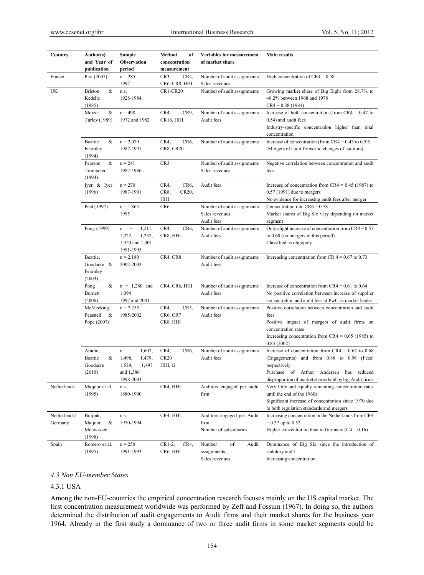| Country      | Author(s)           | Sample                                     | Method<br>of            | Variables for measurement   | <b>Main results</b>                                                         |
|--------------|---------------------|--------------------------------------------|-------------------------|-----------------------------|-----------------------------------------------------------------------------|
|              | and Year of         | Observation                                | concentration           | of market share             |                                                                             |
|              | publication         | period                                     | measurement             |                             |                                                                             |
| France       | Piot $(2005)$       | $n = 285$                                  | CR3,<br>CR4,            | Number of audit assignments | High concentration of $CR4 = 0.58$                                          |
|              |                     | 1997                                       | CR6, CR8, HHI           | Sales revenues              |                                                                             |
| UK           | &<br><b>Briston</b> | n.s.                                       | CR1-CR20                | Number of audit assignments | Growing market share of Big Eight from 28.7% to                             |
|              | Kedslie             | 1928-1984                                  |                         |                             | 46.2% between 1968 and 1978                                                 |
|              | (1985)              |                                            |                         |                             | $CR4 = 0,38(1984)$                                                          |
|              | &<br>Moizer         | $n = 498$                                  | CR4,<br>CR9,            | Number of audit assignments | Increase of both concentration (from $CR4 = 0.47$ to                        |
|              | Turley (1989)       | 1972 and 1982                              | CR16, HHI               | Audit fees                  | 0.54) and audit fees                                                        |
|              |                     |                                            |                         |                             | Industry-specific concentration higher than total                           |
|              |                     |                                            |                         |                             | concentration                                                               |
|              | Beattie<br>&        | $n = 2,079$                                | CR4,<br>CR <sub>6</sub> | Number of audit assignments | Increase of concentration (from $CR4 = 0.43$ to 0.59)                       |
|              | Fearnley            | 1987-1991                                  | CR8, CR20               |                             | (Mergers of audit firms and changes of auditors)                            |
|              | (1994)              |                                            |                         |                             |                                                                             |
|              | &<br>Pearson        | $n = 241$                                  | CR <sub>3</sub>         | Number of audit assignments | Negative correlation between concentration and audit                        |
|              | Trompeter           | 1982-1986                                  |                         | Sales revenues              | fees                                                                        |
|              | (1994)              |                                            |                         |                             |                                                                             |
|              | Iver & Iver         | $n = 270$                                  | CR6,<br>CR4,            | Audit fees                  | Increase of concentration from CR4 = $0.45$ (1987) to                       |
|              | (1996)              | 1987-1991                                  | CR8,<br>CR20,           |                             | $0.57$ (1991) due to mergers                                                |
|              |                     |                                            | HHI                     |                             | No evidence for increasing audit fees after merger                          |
|              | Peel (1997)         | $n = 1,865$                                | CR <sub>6</sub>         | Number of audit assignments | Concentration rate $CR6 = 0.78$                                             |
|              |                     | 1995                                       |                         | Sales revenues              | Market shares of Big Six vary depending on market                           |
|              |                     |                                            |                         | Audit fees                  | segment                                                                     |
|              | Pong (1999)         | $\!=$<br>1,211,<br>n                       | CR4,<br>CR <sub>6</sub> | Number of audit assignments | Only slight increase of concentration from $CR4 = 0.57$                     |
|              |                     | 1,222,<br>1,237,                           | CR8, HHI                | Audit fees                  | to 0.60 (no mergers in this period)                                         |
|              |                     | 1.320 and 1,401                            |                         |                             | Classified as oligopoly                                                     |
|              |                     | 1991-1995                                  |                         |                             |                                                                             |
|              | Beattie,            | $n = 2,180$                                | CR4, CR8                | Number of audit assignments | Increasing concentration from CR $4 = 0.67$ to 0.73                         |
|              | Goodacre &          | 2002-2003                                  |                         | Audit fees                  |                                                                             |
|              | Fearnley            |                                            |                         |                             |                                                                             |
|              | (2003)              |                                            |                         |                             |                                                                             |
|              | &<br>Pong           | $n = 1,280$ and                            | CR4, CR6, HHI           | Number of audit assignments | Increase of concentration from $CR4 = 0.61$ to 0.64                         |
|              | Burnett             | 1,094                                      |                         | Audit fees                  | No positive correlation between increase of supplier                        |
|              | (2006)              | 1997 and 2001                              |                         |                             | concentration and audit fees at PwC as market leader                        |
|              | McMeeking,          | $n = 7,255$                                | CR4,<br>CR5,            | Number of audit assignments | Positive correlation between concentration and audit                        |
|              | Peasnell<br>&       | 1985-2002                                  | CR6, CR7                | Audit fees                  | fees                                                                        |
|              | Pope (2007)         |                                            | CR8, HHI                |                             | Positive impact of mergers of audit firms on                                |
|              |                     |                                            |                         |                             | concentration rates<br>Increasing concentration from CR4 = $0.65$ (1985) to |
|              |                     |                                            |                         |                             | 0.83(2002)                                                                  |
|              | Abidin,             | 1,607,<br>$\mathbf n$<br>$\qquad \qquad =$ | CR4,<br>CR6,            | Number of audit assignments | Increase of concentration from $CRA = 0.67$ to 0.68                         |
|              | Beattie<br>&        | 1,498,<br>1,479,                           | <b>CR20</b>             | Audit fees                  | (Engagements) and from 0.88 to 0.96 (Fees)                                  |
|              | Goodacre            | 1,539,<br>1,497                            | HHI, G                  |                             | respectively                                                                |
|              | (2010)              | and 1,386                                  |                         |                             | of Arthur Andersen has reduced<br>Purchase                                  |
|              |                     | 1998-2003                                  |                         |                             | disproportion of market shares held by big Audit firms                      |
| Netherlands  | Maijoor et al.      | n.s.                                       | CR4, HHI                | Auditors engaged per audit  | Very little and equally remaining concentration rates                       |
|              | (1995)              | 1880-1990                                  |                         | firm                        | until the end of the 1960s                                                  |
|              |                     |                                            |                         |                             | Significant increase of concentration since 1970 due                        |
|              |                     |                                            |                         |                             | to both regulation standards and mergers                                    |
| Netherlands/ | Buijink,            | n.s.                                       | CR4, HHI                | Auditors engaged per Audit  | Increasing concentration in the Netherlands from CR4                        |
| Germany      | Maijoor<br>&        | 1970-1994                                  |                         | firm                        | $= 0.37$ up to 0.52                                                         |
|              | Meuwissen           |                                            |                         | Number of subsidiaries      | Higher concentration than in Germany ( $C4 = 0.16$ )                        |
|              | (1998)              |                                            |                         |                             |                                                                             |
| Spain        | Romero et al.       | $n = 250$                                  | CR1-2,<br>CR4,          | Number<br>of<br>Audit       | Dominance of Big Six since the introduction of                              |
|              | (1995)              | 1991-1993                                  | CR6, HHI                | assignments                 | statutory audit                                                             |
|              |                     |                                            |                         | Sales revenues              | Increasing concentration                                                    |

#### *4.3 Non EU-member States*

#### 4.3.1 USA

Among the non-EU-countries the empirical concentration research focuses mainly on the US capital market. The first concentration measurement worldwide was performed by Zeff and Fossum (1967). In doing so, the authors determined the distribution of audit engagements to Audit firms and their market shares for the business year 1964. Already in the first study a dominance of two or three audit firms in some market segments could be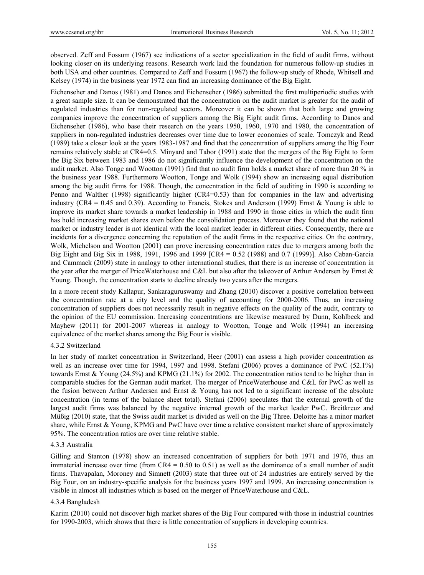observed. Zeff and Fossum (1967) see indications of a sector specialization in the field of audit firms, without looking closer on its underlying reasons. Research work laid the foundation for numerous follow-up studies in both USA and other countries. Compared to Zeff and Fossum (1967) the follow-up study of Rhode, Whitsell and Kelsey (1974) in the business year 1972 can find an increasing dominance of the Big Eight.

Eichenseher and Danos (1981) and Danos and Eichenseher (1986) submitted the first multiperiodic studies with a great sample size. It can be demonstrated that the concentration on the audit market is greater for the audit of regulated industries than for non-regulated sectors. Moreover it can be shown that both large and growing companies improve the concentration of suppliers among the Big Eight audit firms. According to Danos and Eichenseher (1986), who base their research on the years 1950, 1960, 1970 and 1980, the concentration of suppliers in non-regulated industries decreases over time due to lower economies of scale. Tomczyk and Read (1989) take a closer look at the years 1983-1987 and find that the concentration of suppliers among the Big Four remains relatively stable at CR4=0.5. Minyard and Tabor (1991) state that the mergers of the Big Eight to form the Big Six between 1983 and 1986 do not significantly influence the development of the concentration on the audit market. Also Tonge and Wootton (1991) find that no audit firm holds a market share of more than 20 % in the business year 1988. Furthermore Wootton, Tonge and Wolk (1994) show an increasing equal distribution among the big audit firms for 1988. Though, the concentration in the field of auditing in 1990 is according to Penno and Walther (1998) significantly higher (CR4=0.53) than for companies in the law and advertising industry (CR4 = 0.45 and 0.39). According to Francis, Stokes and Anderson (1999) Ernst & Young is able to improve its market share towards a market leadership in 1988 and 1990 in those cities in which the audit firm has hold increasing market shares even before the consolidation process. Moreover they found that the national market or industry leader is not identical with the local market leader in different cities. Consequently, there are incidents for a divergence concerning the reputation of the audit firms in the respective cities. On the contrary, Wolk, Michelson and Wootton (2001) can prove increasing concentration rates due to mergers among both the Big Eight and Big Six in 1988, 1991, 1996 and 1999 [CR4 = 0.52 (1988) and 0.7 (1999)]. Also Caban-Garcia and Cammack (2009) state in analogy to other international studies, that there is an increase of concentration in the year after the merger of PriceWaterhouse and C&L but also after the takeover of Arthur Andersen by Ernst & Young. Though, the concentration starts to decline already two years after the mergers.

In a more recent study Kallapur, Sankaraguruswamy and Zhang (2010) discover a positive correlation between the concentration rate at a city level and the quality of accounting for 2000-2006. Thus, an increasing concentration of suppliers does not necessarily result in negative effects on the quality of the audit, contrary to the opinion of the EU commission. Increasing concentrations are likewise measured by Dunn, Kohlbeck and Mayhew (2011) for 2001-2007 whereas in analogy to Wootton, Tonge and Wolk (1994) an increasing equivalence of the market shares among the Big Four is visible.

#### 4.3.2 Switzerland

In her study of market concentration in Switzerland, Heer (2001) can assess a high provider concentration as well as an increase over time for 1994, 1997 and 1998. Stefani (2006) proves a dominance of PwC (52.1%) towards Ernst & Young (24.5%) and KPMG (21.1%) for 2002. The concentration ratios tend to be higher than in comparable studies for the German audit market. The merger of PriceWaterhouse and C&L for PwC as well as the fusion between Arthur Andersen and Ernst & Young has not led to a significant increase of the absolute concentration (in terms of the balance sheet total). Stefani (2006) speculates that the external growth of the largest audit firms was balanced by the negative internal growth of the market leader PwC. Breitkreuz and Müßig (2010) state, that the Swiss audit market is divided as well on the Big Three. Deloitte has a minor market share, while Ernst  $& Young, KPMG$  and PwC have over time a relative consistent market share of approximately 95%. The concentration ratios are over time relative stable.

# 4.3.3 Australia

Gilling and Stanton (1978) show an increased concentration of suppliers for both 1971 and 1976, thus an immaterial increase over time (from CR4 = 0.50 to 0.51) as well as the dominance of a small number of audit firms. Thavapalan, Moroney and Simnett (2003) state that three out of 24 industries are entirely served by the Big Four, on an industry-specific analysis for the business years 1997 and 1999. An increasing concentration is visible in almost all industries which is based on the merger of PriceWaterhouse and C&L.

#### 4.3.4 Bangladesh

Karim (2010) could not discover high market shares of the Big Four compared with those in industrial countries for 1990-2003, which shows that there is little concentration of suppliers in developing countries.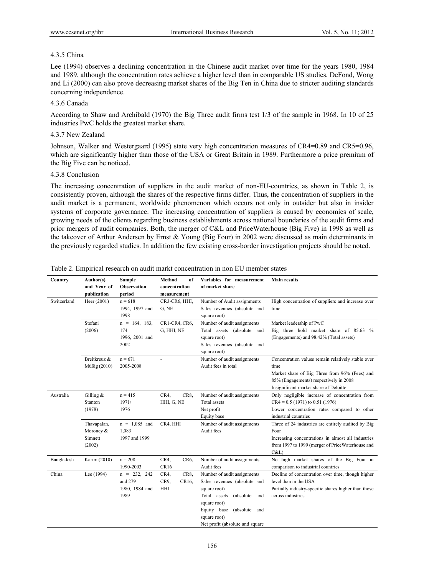# 4.3.5 China

Lee (1994) observes a declining concentration in the Chinese audit market over time for the years 1980, 1984 and 1989, although the concentration rates achieve a higher level than in comparable US studies*.* DeFond, Wong and Li (2000) can also prove decreasing market shares of the Big Ten in China due to stricter auditing standards concerning independence.

# 4.3.6 Canada

According to Shaw and Archibald (1970) the Big Three audit firms test 1/3 of the sample in 1968. In 10 of 25 industries PwC holds the greatest market share.

#### 4.3.7 New Zealand

Johnson, Walker and Westergaard (1995) state very high concentration measures of CR4=0.89 and CR5=0.96, which are significantly higher than those of the USA or Great Britain in 1989. Furthermore a price premium of the Big Five can be noticed.

#### 4.3.8 Conclusion

The increasing concentration of suppliers in the audit market of non-EU-countries, as shown in Table 2, is consistently proven, although the shares of the respective firms differ. Thus, the concentration of suppliers in the audit market is a permanent, worldwide phenomenon which occurs not only in outsider but also in insider systems of corporate governance. The increasing concentration of suppliers is caused by economies of scale, growing needs of the clients regarding business establishments across national boundaries of the audit firms and prior mergers of audit companies. Both, the merger of C&L and PriceWaterhouse (Big Five) in 1998 as well as the takeover of Arthur Andersen by Ernst & Young (Big Four) in 2002 were discussed as main determinants in the previously regarded studies. In addition the few existing cross-border investigation projects should be noted.

| Country     | Author(s)<br>and Year of<br>publication       | <b>Sample</b><br>Observation<br>period              | <b>Method</b><br>of<br>concentration<br>measurement | Variables for measurement<br>of market share                                                                                                                                                                    | <b>Main results</b>                                                                                                                                                                             |
|-------------|-----------------------------------------------|-----------------------------------------------------|-----------------------------------------------------|-----------------------------------------------------------------------------------------------------------------------------------------------------------------------------------------------------------------|-------------------------------------------------------------------------------------------------------------------------------------------------------------------------------------------------|
| Switzerland | Heer (2001)                                   | $n = 618$<br>1994, 1997 and<br>1998                 | CR3-CR6, HHI,<br>G, NE                              | Number of Audit assignments<br>Sales revenues (absolute and<br>square root)                                                                                                                                     | High concentration of suppliers and increase over<br>time                                                                                                                                       |
|             | Stefani<br>(2006)                             | $n = 164, 183,$<br>174<br>1996, 2001 and<br>2002    | CR1-CR4, CR6,<br>G, HHI, NE                         | Number of audit assignments<br>Total assets (absolute and<br>square root)<br>Sales revenues (absolute and<br>square root)                                                                                       | Market leadership of PwC<br>Big three hold market share of 85.63 %<br>(Engagements) and 98.42% (Total assets)                                                                                   |
|             | Breitkreuz &<br>Müßig (2010)                  | $n = 671$<br>2005-2008                              |                                                     | Number of audit assignments<br>Audit fees in total                                                                                                                                                              | Concentration values remain relatively stable over<br>time<br>Market share of Big Three from 96% (Fees) and<br>85% (Engagements) respectively in 2008<br>Insignificant market share of Deloitte |
| Australia   | Gilling $&$<br>Stanton<br>(1978)              | $n = 415$<br>1971/<br>1976                          | CR8.<br>CR4<br>HHI, G, NE                           | Number of audit assignments<br>Total assets<br>Net profit<br>Equity base                                                                                                                                        | Only negligible increase of concentration from<br>$CR4 = 0.5 (1971)$ to 0.51 (1976)<br>Lower concentration rates compared to other<br>industrial countries                                      |
|             | Thavapalan,<br>Moroney &<br>Simnett<br>(2002) | $n = 1,085$ and<br>1,083<br>1997 and 1999           | CR4, HHI                                            | Number of audit assignments<br>Audit fees                                                                                                                                                                       | Three of 24 industries are entirely audited by Big<br>Four<br>Increasing concentrations in almost all industries<br>from 1997 to 1999 (merger of PriceWaterhouse and<br>C&L                     |
| Bangladesh  | Karim (2010)                                  | $n = 208$<br>1990-2003                              | CR4.<br>CR <sub>6</sub><br>CR16                     | Number of audit assignments<br>Audit fees                                                                                                                                                                       | No high market shares of the Big Four in<br>comparison to industrial countries                                                                                                                  |
| China       | Lee (1994)                                    | $n = 232, 242$<br>and 279<br>1980, 1984 and<br>1989 | CR4,<br>CR8,<br>CR9,<br>CR16,<br><b>HHI</b>         | Number of audit assignments<br>Sales revenues (absolute and<br>square root)<br>Total assets<br>(absolute and<br>square root)<br>Equity base<br>(absolute and<br>square root)<br>Net profit (absolute and square | Decline of concentration over time, though higher<br>level than in the USA<br>Partially industry-specific shares higher than those<br>across industries                                         |

# Table 2. Empirical research on audit markt concentration in non EU member states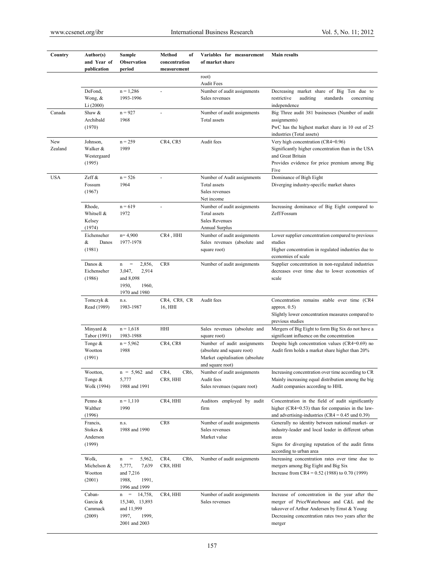| Country    | Author(s)<br>and Year of<br>publication   | Sample<br><b>Observation</b><br>period                                                                                        | Method<br>of<br>concentration<br>measurement | Variables for measurement<br>of market share                                                                     | <b>Main results</b>                                                                                                                                                                                          |
|------------|-------------------------------------------|-------------------------------------------------------------------------------------------------------------------------------|----------------------------------------------|------------------------------------------------------------------------------------------------------------------|--------------------------------------------------------------------------------------------------------------------------------------------------------------------------------------------------------------|
|            |                                           |                                                                                                                               |                                              | root)                                                                                                            |                                                                                                                                                                                                              |
|            |                                           |                                                                                                                               |                                              | <b>Audit Fees</b>                                                                                                |                                                                                                                                                                                                              |
|            | DeFond,<br>Wong, $&$<br>Li (2000)         | $n = 1,286$<br>1993-1996                                                                                                      |                                              | Number of audit assignments<br>Sales revenues                                                                    | Decreasing market share of Big Ten due to<br>restrictive<br>auditing<br>standards<br>concerning<br>independence                                                                                              |
| Canada     | Shaw $\&$                                 | $n = 927$                                                                                                                     |                                              | Number of audit assignments                                                                                      | Big Three audit 381 businesses (Number of audit                                                                                                                                                              |
|            | Archibald<br>(1970)                       | 1968                                                                                                                          |                                              | Total assets                                                                                                     | assignments)<br>PwC has the highest market share in 10 out of 25<br>industries (Total assets)                                                                                                                |
| New        | Johnson,                                  | $n = 259$                                                                                                                     | CR4, CR5                                     | Audit fees                                                                                                       | Very high concentration (CR4=0.96)                                                                                                                                                                           |
| Zealand    | Walker &<br>Westergaard<br>(1995)         | 1989                                                                                                                          |                                              |                                                                                                                  | Significantly higher concentration than in the USA<br>and Great Britain<br>Provides evidence for price premium among Big<br>Five                                                                             |
| <b>USA</b> | Zeff &                                    | $n = 526$                                                                                                                     | ä,                                           | Number of Audit assignments                                                                                      | Dominance of Bigh Eight                                                                                                                                                                                      |
|            | Fossum<br>(1967)                          | 1964                                                                                                                          |                                              | Total assets<br>Sales revenues<br>Net income                                                                     | Diverging industry-specific market shares                                                                                                                                                                    |
|            | Rhode,                                    | $n = 619$                                                                                                                     |                                              | Number of audit assignments                                                                                      | Increasing dominance of Big Eight compared to                                                                                                                                                                |
|            | Whitsell &<br>Kelsey<br>(1974)            | 1972                                                                                                                          |                                              | Total assets<br><b>Sales Revenues</b><br><b>Annual Surplus</b>                                                   | Zeff/Fossum                                                                                                                                                                                                  |
|            | Eichenseher                               | $n=4,900$                                                                                                                     | CR4, HHI                                     | Number of audit assignments                                                                                      | Lower supplier concentration compared to previous                                                                                                                                                            |
|            | &<br>Danos<br>(1981)                      | 1977-1978                                                                                                                     |                                              | Sales revenues (absolute and<br>square root)                                                                     | studies<br>Higher concentration in regulated industries due to<br>economies of scale                                                                                                                         |
|            | Danos $&$                                 | 2,856,<br>$\hspace{0.1in} = \hspace{0.1in}$<br>n                                                                              | CR8                                          | Number of audit assignments                                                                                      | Supplier concentration in non-regulated industries                                                                                                                                                           |
|            | Eichenseher<br>(1986)                     | 3,047,<br>2,914<br>and 8,098<br>1950,<br>1960,<br>1970 and 1980                                                               |                                              |                                                                                                                  | decreases over time due to lower economies of<br>scale                                                                                                                                                       |
|            | Tomczyk &<br>Read (1989)                  | n.s.<br>1983-1987                                                                                                             | CR4, CR8, CR<br>16, HHI                      | Audit fees                                                                                                       | Concentration remains stable over time (CR4<br>approx. $0.5$ )<br>Slightly lower concentration measures compared to<br>previous studies                                                                      |
|            | Minyard $&$<br>Tabor (1991)               | $n = 1,618$<br>1983-1988                                                                                                      | <b>HHI</b>                                   | Sales revenues (absolute and<br>square root)                                                                     | Mergers of Big Eight to form Big Six do not have a<br>significant influence on the concentration                                                                                                             |
|            | Tonge $&$<br>Wootton<br>(1991)            | $n = 5,962$<br>1988                                                                                                           | CR4, CR8                                     | Number of audit assignments<br>(absolute and square root)<br>Market capitalisation (absolute<br>and square root) | Despite high concentration values (CR4=0.69) no<br>Audit firm holds a market share higher than 20%                                                                                                           |
|            | Wootton,<br>Tonge $\&$<br>Wolk (1994)     | $n = 5,962$ and<br>5,777<br>1988 and 1991                                                                                     | CR4,<br>CR <sub>6</sub><br>CR8, HHI          | Number of audit assignments<br>Audit fees<br>Sales revenues (square root)                                        | Increasing concentration over time according to CR<br>Mainly increasing equal distribution among the big<br>Audit companies according to HHL                                                                 |
|            |                                           |                                                                                                                               |                                              |                                                                                                                  |                                                                                                                                                                                                              |
|            | Penno &<br>Walther<br>(1996)              | $n = 1,110$<br>1990                                                                                                           | CR4, HHI                                     | Auditors employed by audit<br>firm                                                                               | Concentration in the field of audit significantly<br>higher (CR4=0.53) than for companies in the law-<br>and advertising-industries $(CR4 = 0.45 \text{ und } 0.39)$                                         |
|            | Francis,<br>Stokes &<br>Anderson          | n.s.<br>1988 and 1990                                                                                                         | CR8                                          | Number of audit assignments<br>Sales revenues<br>Market value                                                    | Generally no identity between national market- or<br>industry-leader and local leader in different urban<br>areas                                                                                            |
|            | (1999)                                    |                                                                                                                               |                                              |                                                                                                                  | Signs for diverging reputation of the audit firms<br>according to urban area                                                                                                                                 |
|            | Wolk,<br>Michelson &<br>Wootton<br>(2001) | 5,962,<br>$\hspace{1.6cm} = \hspace{1.6cm}$<br>$\mathbf n$<br>5,777,<br>7,639<br>and 7,216<br>1988,<br>1991,<br>1996 and 1999 | CR4,<br>CR <sub>6</sub><br>CR8, HHI          | Number of audit assignments                                                                                      | Increasing concentration rates over time due to<br>mergers among Big Eight and Big Six<br>Increase from CR4 = $0.52$ (1988) to 0.70 (1999)                                                                   |
|            | Caban-<br>Garcia &<br>Cammack<br>(2009)   | $n = 14,758,$<br>15,340, 13,893<br>and 11,999<br>1997,<br>1999,<br>2001 and 2003                                              | CR4, HHI                                     | Number of audit assignments<br>Sales revenues                                                                    | Increase of concentration in the year after the<br>merger of PriceWaterhouse and C&L and the<br>takeover of Arthur Andersen by Ernst & Young<br>Decreasing concentration rates two years after the<br>merger |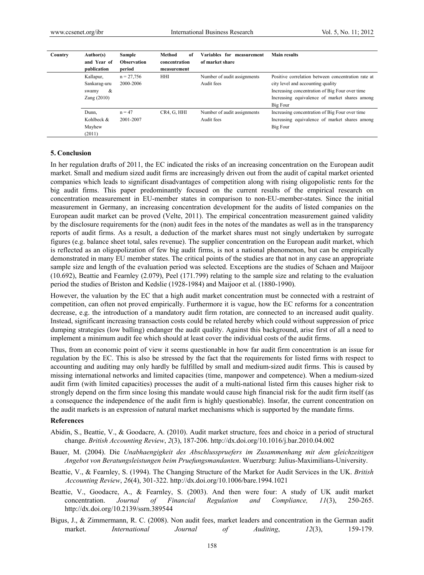| Country | Author(s)<br>and Year of<br>publication                         | <b>Sample</b><br><b>Observation</b><br>period | Method<br>of<br>concentration<br>measurement | Variables for<br>measurement<br>of market share | <b>Main results</b>                                                                                                                                                                                    |
|---------|-----------------------------------------------------------------|-----------------------------------------------|----------------------------------------------|-------------------------------------------------|--------------------------------------------------------------------------------------------------------------------------------------------------------------------------------------------------------|
|         | Kallapur,<br>Sankarag-uru<br>&<br>swamy<br>$\text{Zang}$ (2010) | $n = 27,756$<br>2000-2006                     | HHI                                          | Number of audit assignments<br>Audit fees       | Positive correlation between concentration rate at<br>city level and accounting quality<br>Increasing concentration of Big Four over time<br>Increasing equivalence of market shares among<br>Big Four |
|         | Dunn.<br>Kohlbeck &<br>Mayhew<br>(2011)                         | $n = 47$<br>2001-2007                         | CR4, G, HHI                                  | Number of audit assignments<br>Audit fees       | Increasing concentration of Big Four over time<br>Increasing equivalence of market shares among<br>Big Four                                                                                            |

#### **5. Conclusion**

In her regulation drafts of 2011, the EC indicated the risks of an increasing concentration on the European audit market. Small and medium sized audit firms are increasingly driven out from the audit of capital market oriented companies which leads to significant disadvantages of competition along with rising oligopolistic rents for the big audit firms. This paper predominantly focused on the current results of the empirical research on concentration measurement in EU-member states in comparison to non-EU-member-states. Since the initial measurement in Germany, an increasing concentration development for the audits of listed companies on the European audit market can be proved (Velte, 2011). The empirical concentration measurement gained validity by the disclosure requirements for the (non) audit fees in the notes of the mandates as well as in the transparency reports of audit firms. As a result, a deduction of the market shares must not singly undertaken by surrogate figures (e.g. balance sheet total, sales revenue). The supplier concentration on the European audit market, which is reflected as an oligopolization of few big audit firms, is not a national phenomenon, but can be empirically demonstrated in many EU member states. The critical points of the studies are that not in any case an appropriate sample size and length of the evaluation period was selected. Exceptions are the studies of Schaen and Maijoor (10.692), Beattie and Fearnley (2.079), Peel (171.799) relating to the sample size and relating to the evaluation period the studies of Briston and Kedslie (1928-1984) and Maijoor et al. (1880-1990).

However, the valuation by the EC that a high audit market concentration must be connected with a restraint of competition, can often not proved empirically. Furthermore it is vague, how the EC reforms for a concentration decrease, e.g. the introduction of a mandatory audit firm rotation, are connected to an increased audit quality. Instead, significant increasing transaction costs could be related hereby which could without suppression of price dumping strategies (low balling) endanger the audit quality. Against this background, arise first of all a need to implement a minimum audit fee which should at least cover the individual costs of the audit firms.

Thus, from an economic point of view it seems questionable in how far audit firm concentration is an issue for regulation by the EC. This is also be stressed by the fact that the requirements for listed firms with respect to accounting and auditing may only hardly be fulfilled by small and medium-sized audit firms. This is caused by missing international networks and limited capacities (time, manpower and competence). When a medium-sized audit firm (with limited capacities) processes the audit of a multi-national listed firm this causes higher risk to strongly depend on the firm since losing this mandate would cause high financial risk for the audit firm itself (as a consequence the independence of the audit firm is highly questionable). Insofar, the current concentration on the audit markets is an expression of natural market mechanisms which is supported by the mandate firms.

#### **References**

- Abidin, S., Beattie, V., & Goodacre, A. (2010). Audit market structure, fees and choice in a period of structural change. *British Accounting Review*, *2*(3), 187-206. http://dx.doi.org/10.1016/j.bar.2010.04.002
- Bauer, M. (2004). Die *Unabhaengigkeit des Abschlusspruefers im Zusammenhang mit dem gleichzeitigen Angebot von Beratungsleistungen beim Pruefungsmandanten*. Wuerzburg: Julius-Maximilians-University.
- Beattie, V., & Fearnley, S. (1994). The Changing Structure of the Market for Audit Services in the UK. *British Accounting Review*, *26*(4), 301-322. http://dx.doi.org/10.1006/bare.1994.1021
- Beattie, V., Goodacre, A., & Fearnley, S. (2003). And then were four: A study of UK audit market concentration. *Journal of Financial Regulation and Compliance, 11*(3), 250-265. http://dx.doi.org/10.2139/ssrn.389544
- Bigus, J., & Zimmermann, R. C. (2008). Non audit fees, market leaders and concentration in the German audit market. *International Journal of Auditing*, *12*(3), 159-179.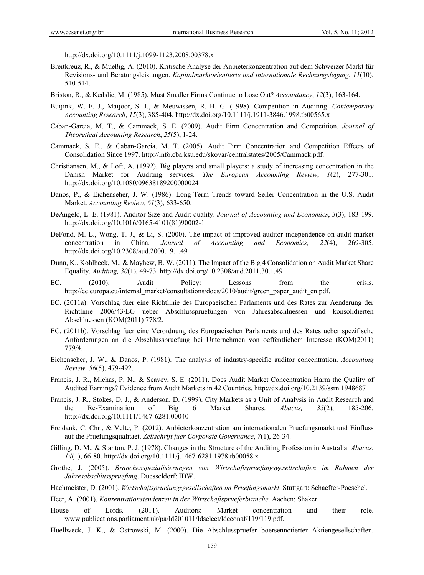http://dx.doi.org/10.1111/j.1099-1123.2008.00378.x

- Breitkreuz, R., & Mueßig, A. (2010). Kritische Analyse der Anbieterkonzentration auf dem Schweizer Markt für Revisions- und Beratungsleistungen. *Kapitalmarktorientierte und internationale Rechnungslegung*, *11*(10), 510-514.
- Briston, R., & Kedslie, M. (1985). Must Smaller Firms Continue to Lose Out? *Accountancy*, *12*(3), 163-164.
- Buijink, W. F. J., Maijoor, S. J., & Meuwissen, R. H. G. (1998). Competition in Auditing. *Contemporary Accounting Research*, *15*(3), 385-404. http://dx.doi.org/10.1111/j.1911-3846.1998.tb00565.x
- Caban-Garcia, M. T., & Cammack, S. E. (2009). Audit Firm Concentration and Competition. *Journal of Theoretical Accounting Research*, *25*(5), 1-24.
- Cammack, S. E., & Caban-Garcia, M. T. (2005). Audit Firm Concentration and Competition Effects of Consolidation Since 1997. http://info.cba.ksu.edu/skovar/centralstates/2005/Cammack.pdf.
- Christiansen, M., & Loft, A. (1992). Big players and small players: a study of increasing concentration in the Danish Market for Auditing services. *The European Accounting Review*, *1*(2), 277-301. http://dx.doi.org/10.1080/09638189200000024
- Danos, P., & Eichenseher, J. W. (1986). Long-Term Trends toward Seller Concentration in the U.S. Audit Market. *Accounting Review, 61*(3), 633-650.
- DeAngelo, L. E. (1981). Auditor Size and Audit quality. *Journal of Accounting and Economics*, *3*(3), 183-199. http://dx.doi.org/10.1016/0165-4101(81)90002-1
- DeFond, M. L., Wong, T. J., & Li, S. (2000). The impact of improved auditor independence on audit market concentration in China. *Journal of Accounting and Economics, 22*(4), 269-305. http://dx.doi.org/10.2308/aud.2000.19.1.49
- Dunn, K., Kohlbeck, M., & Mayhew, B. W. (2011). The Impact of the Big 4 Consolidation on Audit Market Share Equality. *Auditing, 30*(1), 49-73. http://dx.doi.org/10.2308/aud.2011.30.1.49
- EC. (2010). Audit Policy: Lessons from the crisis. http://ec.europa.eu/internal\_market/consultations/docs/2010/audit/green\_paper\_audit\_en.pdf.
- EC. (2011a). Vorschlag fuer eine Richtlinie des Europaeischen Parlaments und des Rates zur Aenderung der Richtlinie 2006/43/EG ueber Abschlusspruefungen von Jahresabschluessen und konsolidierten Abschluessen (KOM(2011) 778/2.
- EC. (2011b). Vorschlag fuer eine Verordnung des Europaeischen Parlaments und des Rates ueber spezifische Anforderungen an die Abschlusspruefung bei Unternehmen von oeffentlichem Interesse (KOM(2011) 779/4.
- Eichenseher, J. W., & Danos, P. (1981). The analysis of industry-specific auditor concentration. *Accounting Review, 56*(5), 479-492.
- Francis, J. R., Michas, P. N., & Seavey, S. E. (2011). Does Audit Market Concentration Harm the Quality of Audited Earnings? Evidence from Audit Markets in 42 Countries. http://dx.doi.org/10.2139/ssrn.1948687
- Francis, J. R., Stokes, D. J., & Anderson, D. (1999). City Markets as a Unit of Analysis in Audit Research and the Re-Examination of Big 6 Market Shares. *Abacus, 35*(2), 185-206. http://dx.doi.org/10.1111/1467-6281.00040
- Freidank, C. Chr., & Velte, P. (2012). Anbieterkonzentration am internationalen Pruefungsmarkt und Einfluss auf die Pruefungsqualitaet. *Zeitschrift fuer Corporate Governance*, *7*(1), 26-34.
- Gilling, D. M., & Stanton, P. J. (1978). Changes in the Structure of the Auditing Profession in Australia. *Abacus*, *14*(1), 66-80. http://dx.doi.org/10.1111/j.1467-6281.1978.tb00058.x
- Grothe, J. (2005). *Branchenspezialisierungen von Wirtschaftspruefungsgesellschaften im Rahmen der Jahresabschlusspruefung*. Duesseldorf: IDW.
- Hachmeister, D. (2001). *Wirtschaftspruefungsgesellschaften im Pruefungsmarkt*. Stuttgart: Schaeffer-Poeschel.
- Heer, A. (2001). *Konzentrationstendenzen in der Wirtschaftsprueferbranche*. Aachen: Shaker.
- House of Lords. (2011). Auditors: Market concentration and their role. www.publications.parliament.uk/pa/ld201011/ldselect/ldeconaf/119/119.pdf.
- Huellweck, J. K., & Ostrowski, M. (2000). Die Abschlusspruefer boersennotierter Aktiengesellschaften.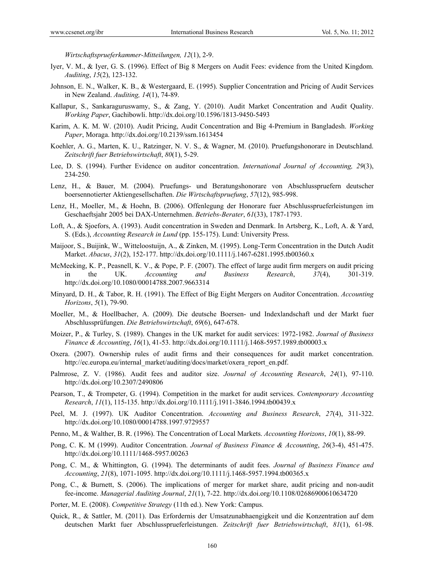*Wirtschaftsprueferkammer-Mitteilungen, 12*(1), 2-9.

- Iyer, V. M., & Iyer, G. S. (1996). Effect of Big 8 Mergers on Audit Fees: evidence from the United Kingdom. *Auditing*, *15*(2), 123-132.
- Johnson, E. N., Walker, K. B., & Westergaard, E. (1995). Supplier Concentration and Pricing of Audit Services in New Zealand. *Auditing, 14*(1), 74-89.
- Kallapur, S., Sankaraguruswamy, S., & Zang, Y. (2010). Audit Market Concentration and Audit Quality. *Working Paper*, Gachibowli. http://dx.doi.org/10.1596/1813-9450-5493
- Karim, A. K. M. W. (2010). Audit Pricing, Audit Concentration and Big 4-Premium in Bangladesh. *Working Paper*, Moraga. http://dx.doi.org/10.2139/ssrn.1613454
- Koehler, A. G., Marten, K. U., Ratzinger, N. V. S., & Wagner, M. (2010). Pruefungshonorare in Deutschland. *Zeitschrift fuer Betriebswirtschaft*, *80*(1), 5-29.
- Lee, D. S. (1994). Further Evidence on auditor concentration. *International Journal of Accounting, 29*(3), 234-250.
- Lenz, H., & Bauer, M. (2004). Pruefungs- und Beratungshonorare von Abschlusspruefern deutscher boersennotierter Aktiengesellschaften. *Die Wirtschaftspruefung*, *57*(12), 985-998.
- Lenz, H., Moeller, M., & Hoehn, B. (2006). Offenlegung der Honorare fuer Abschlussprueferleistungen im Geschaeftsjahr 2005 bei DAX-Unternehmen. *Betriebs-Berater*, *61*(33), 1787-1793.
- Loft, A., & Sjoefors, A. (1993). Audit concentration in Sweden and Denmark. In Artsberg, K., Loft, A. & Yard, S. (Eds.), *Accounting Research in Lund* (pp. 155-175). Lund: University Press.
- Maijoor, S., Buijink, W., Witteloostuijn, A., & Zinken, M. (1995). Long-Term Concentration in the Dutch Audit Market. *Abacus*, *31*(2), 152-177. http://dx.doi.org/10.1111/j.1467-6281.1995.tb00360.x
- McMeeking, K. P., Peasnell, K. V., & Pope, P. F. (2007). The effect of large audit firm mergers on audit pricing in the UK. *Accounting and Business Research*, *37*(4), 301-319. http://dx.doi.org/10.1080/00014788.2007.9663314
- Minyard, D. H., & Tabor, R. H. (1991). The Effect of Big Eight Mergers on Auditor Concentration. *Accounting Horizons*, *5*(1), 79-90.
- Moeller, M., & Hoellbacher, A. (2009). Die deutsche Boersen- und Indexlandschaft und der Markt fuer Abschlussprüfungen. *Die Betriebswirtschaft*, *69*(6), 647-678.
- Moizer, P., & Turley, S. (1989). Changes in the UK market for audit services: 1972-1982. *Journal of Business Finance & Accounting*, *16*(1), 41-53. http://dx.doi.org/10.1111/j.1468-5957.1989.tb00003.x
- Oxera. (2007). Ownership rules of audit firms and their consequences for audit market concentration. http://ec.europa.eu/internal\_market/auditing/docs/market/oxera\_report\_en.pdf.
- Palmrose, Z. V. (1986). Audit fees and auditor size. *Journal of Accounting Research*, *24*(1), 97-110. http://dx.doi.org/10.2307/2490806
- Pearson, T., & Trompeter, G. (1994). Competition in the market for audit services. *Contemporary Accounting Research*, *11*(1), 115-135. http://dx.doi.org/10.1111/j.1911-3846.1994.tb00439.x
- Peel, M. J. (1997). UK Auditor Concentration. *Accounting and Business Research*, *27*(4), 311-322. http://dx.doi.org/10.1080/00014788.1997.9729557
- Penno, M., & Walther, B. R. (1996). The Concentration of Local Markets. *Accounting Horizons*, *10*(1), 88-99.
- Pong, C. K. M (1999). Auditor Concentration. *Journal of Business Finance & Accounting*, *26*(3-4), 451-475. http://dx.doi.org/10.1111/1468-5957.00263
- Pong, C. M., & Whittington, G. (1994). The determinants of audit fees. *Journal of Business Finance and Accounting*, *21*(8), 1071-1095. http://dx.doi.org/10.1111/j.1468-5957.1994.tb00365.x
- Pong, C., & Burnett, S. (2006). The implications of merger for market share, audit pricing and non-audit fee-income. *Managerial Auditing Journal*, *21*(1), 7-22. http://dx.doi.org/10.1108/02686900610634720
- Porter, M. E. (2008). *Competitive Strategy* (11th ed.). New York: Campus.
- Quick, R., & Sattler, M. (2011). Das Erfordernis der Umsatzunabhaengigkeit und die Konzentration auf dem deutschen Markt fuer Abschlussprueferleistungen. *Zeitschrift fuer Betriebswirtschaft*, *81*(1), 61-98.